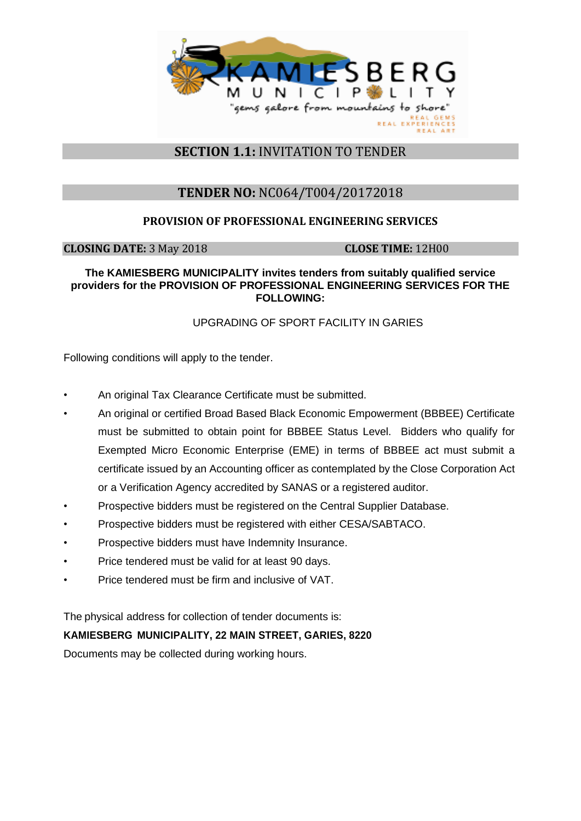

# **SECTION 1.1:** INVITATION TO TENDER

# **TENDER NO:** NC064/T004/20172018

## **PROVISION OF PROFESSIONAL ENGINEERING SERVICES**

**CLOSING DATE:** 3 May 2018 **CLOSE TIME:** 12H00

#### **The KAMIESBERG MUNICIPALITY invites tenders from suitably qualified service providers for the PROVISION OF PROFESSIONAL ENGINEERING SERVICES FOR THE FOLLOWING:**

## UPGRADING OF SPORT FACILITY IN GARIES

Following conditions will apply to the tender.

- An original Tax Clearance Certificate must be submitted.
- An original or certified Broad Based Black Economic Empowerment (BBBEE) Certificate must be submitted to obtain point for BBBEE Status Level. Bidders who qualify for Exempted Micro Economic Enterprise (EME) in terms of BBBEE act must submit a certificate issued by an Accounting officer as contemplated by the Close Corporation Act or a Verification Agency accredited by SANAS or a registered auditor.
- Prospective bidders must be registered on the Central Supplier Database.
- Prospective bidders must be registered with either CESA/SABTACO.
- Prospective bidders must have Indemnity Insurance.
- Price tendered must be valid for at least 90 days.
- Price tendered must be firm and inclusive of VAT.

The physical address for collection of tender documents is:

### **KAMIESBERG MUNICIPALITY, 22 MAIN STREET, GARIES, 8220**

Documents may be collected during working hours.